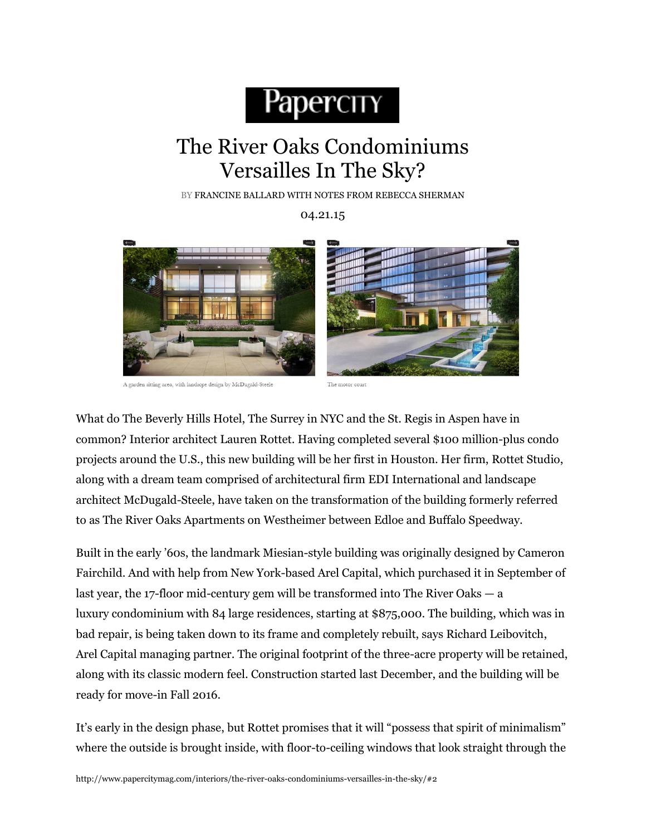## Papercity

## The River Oaks Condominiums Versailles In The Sky?

BY FRANCINE BALLARD WITH NOTES FROM REBECCA SHERMAN

04.21.15



A garden sitting area, with landscpe design by McDugald-Steele



The motor court

What do The Beverly Hills Hotel, The Surrey in NYC and the St. Regis in Aspen have in common? Interior architect Lauren Rottet. Having completed several \$100 million-plus condo projects around the U.S., this new building will be her first in Houston. Her firm, Rottet Studio, along with a dream team comprised of architectural firm EDI International and landscape architect McDugald-Steele, have taken on the transformation of the building formerly referred to as The River Oaks Apartments on Westheimer between Edloe and Buffalo Speedway.

Built in the early '60s, the landmark Miesian-style building was originally designed by Cameron Fairchild. And with help from New York-based Arel Capital, which purchased it in September of last year, the 17-floor mid-century gem will be transformed into The River Oaks — a luxury condominium with 84 large residences, starting at \$875,000. The building, which was in bad repair, is being taken down to its frame and completely rebuilt, says Richard Leibovitch, Arel Capital managing partner. The original footprint of the three-acre property will be retained, along with its classic modern feel. Construction started last December, and the building will be ready for move-in Fall 2016.

It's early in the design phase, but Rottet promises that it will "possess that spirit of minimalism" where the outside is brought inside, with floor-to-ceiling windows that look straight through the